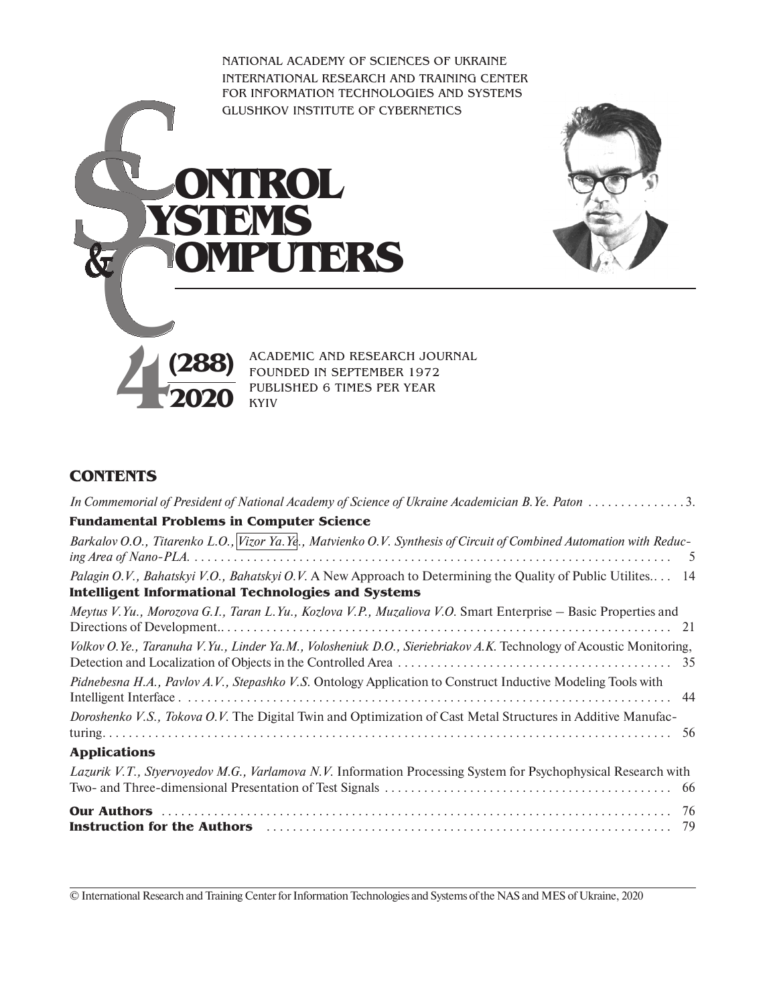National Academy of Sciences of Ukraine International Research and Training Center for Information Technologies and Systems Glushkov Institute of Cybernetics





**C***S***<u><b>SIEMS**<br>& COMPUTE</u>

Academic and Research journal Founded in september 1972 Published 6 times per year Kyiv

## **Contents**

**&**

| In Commemorial of President of National Academy of Science of Ukraine Academician B.Ye. Paton 3.                                                                          |  |
|---------------------------------------------------------------------------------------------------------------------------------------------------------------------------|--|
| <b>Fundamental Problems in Computer Science</b>                                                                                                                           |  |
| Barkalov O.O., Titarenko L.O., Vizor Ya. Ye., Matvienko O.V. Synthesis of Circuit of Combined Automation with Reduc-                                                      |  |
| Palagin O.V., Bahatskyi V.O., Bahatskyi O.V. A New Approach to Determining the Quality of Public Utilites 14<br><b>Intelligent Informational Technologies and Systems</b> |  |
| Meytus V.Yu., Morozova G.I., Taran L.Yu., Kozlova V.P., Muzaliova V.O. Smart Enterprise - Basic Properties and                                                            |  |
| Volkov O.Ye., Taranuha V.Yu., Linder Ya.M., Volosheniuk D.O., Sieriebriakov A.K. Technology of Acoustic Monitoring,                                                       |  |
| Pidnebesna H.A., Pavlov A.V., Stepashko V.S. Ontology Application to Construct Inductive Modeling Tools with                                                              |  |
| Doroshenko V.S., Tokova O.V. The Digital Twin and Optimization of Cast Metal Structures in Additive Manufac-                                                              |  |
| <b>Applications</b>                                                                                                                                                       |  |
| Lazurik V.T., Styervoyedov M.G., Varlamova N.V. Information Processing System for Psychophysical Research with                                                            |  |
|                                                                                                                                                                           |  |

© International Research and Training Center for Information Technologies and Systems of the NAS and MES of Ukraine, 2020